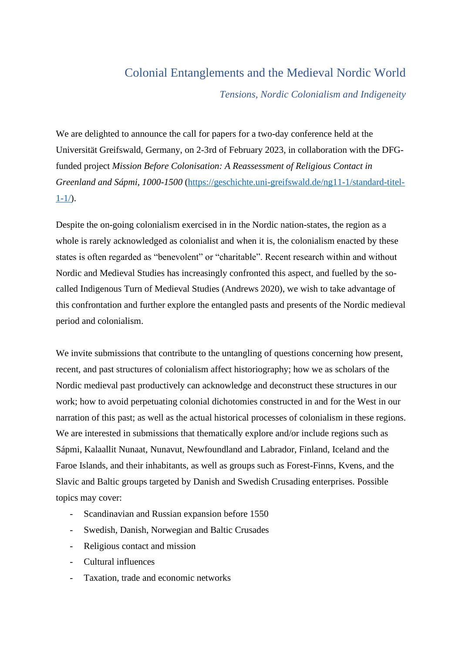## Colonial Entanglements and the Medieval Nordic World *Tensions, Nordic Colonialism and Indigeneity*

We are delighted to announce the call for papers for a two-day conference held at the Universität Greifswald, Germany, on 2-3rd of February 2023, in collaboration with the DFGfunded project *Mission Before Colonisation: A Reassessment of Religious Contact in Greenland and Sápmi, 1000-1500* [\(https://geschichte.uni-greifswald.de/ng11-1/standard-titel-](https://geschichte.uni-greifswald.de/ng11-1/standard-titel-1-1/) $1-1/$ ).

Despite the on-going colonialism exercised in in the Nordic nation-states, the region as a whole is rarely acknowledged as colonialist and when it is, the colonialism enacted by these states is often regarded as "benevolent" or "charitable". Recent research within and without Nordic and Medieval Studies has increasingly confronted this aspect, and fuelled by the socalled Indigenous Turn of Medieval Studies (Andrews 2020), we wish to take advantage of this confrontation and further explore the entangled pasts and presents of the Nordic medieval period and colonialism.

We invite submissions that contribute to the untangling of questions concerning how present, recent, and past structures of colonialism affect historiography; how we as scholars of the Nordic medieval past productively can acknowledge and deconstruct these structures in our work; how to avoid perpetuating colonial dichotomies constructed in and for the West in our narration of this past; as well as the actual historical processes of colonialism in these regions. We are interested in submissions that thematically explore and/or include regions such as Sápmi, Kalaallit Nunaat, Nunavut, Newfoundland and Labrador, Finland, Iceland and the Faroe Islands, and their inhabitants, as well as groups such as Forest-Finns, Kvens, and the Slavic and Baltic groups targeted by Danish and Swedish Crusading enterprises. Possible topics may cover:

- Scandinavian and Russian expansion before 1550
- Swedish, Danish, Norwegian and Baltic Crusades
- Religious contact and mission
- Cultural influences
- Taxation, trade and economic networks